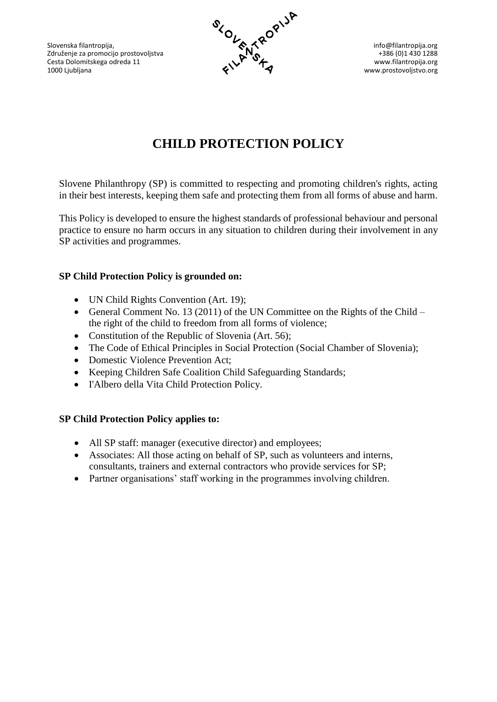Slovenska filantropija, info@filantropija.org info@filantropija.org info@filantropija.org info@filantropija.org Združenje za promocijo prostovoljstva +386 (0)1 430 1288<br>Cesta Dolomitskega odreda 11 v v v v v filantropija.org + 1386 (0)1 430 1288 Cesta Dolomitskega odreda 11 www.filantropija.org www.filantropija.org www.filantropija.org 1000 Ljubljana www.prostovoljstvo.org



# **CHILD PROTECTION POLICY**

Slovene Philanthropy (SP) is committed to respecting and promoting children's rights, acting in their best interests, keeping them safe and protecting them from all forms of abuse and harm.

This Policy is developed to ensure the highest standards of professional behaviour and personal practice to ensure no harm occurs in any situation to children during their involvement in any SP activities and programmes.

# **SP Child Protection Policy is grounded on:**

- UN Child Rights Convention (Art. 19);
- General Comment No. 13 (2011) of the UN Committee on the Rights of the Child the right of the child to freedom from all forms of violence;
- Constitution of the Republic of Slovenia (Art. 56);
- The Code of Ethical Principles in Social Protection (Social Chamber of Slovenia);
- Domestic Violence Prevention Act:
- Keeping Children Safe Coalition Child Safeguarding Standards;
- I'Albero della Vita Child Protection Policy.

## **SP Child Protection Policy applies to:**

- All SP staff: manager (executive director) and employees;
- Associates: All those acting on behalf of SP, such as volunteers and interns, consultants, trainers and external contractors who provide services for SP;
- Partner organisations' staff working in the programmes involving children.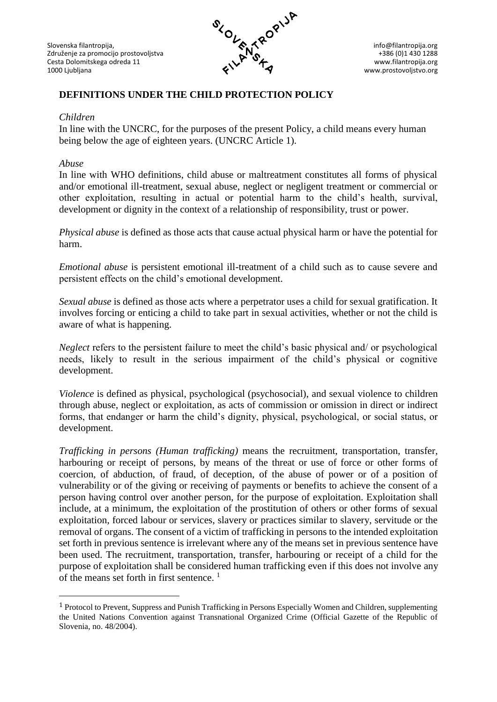

www.prostovoljstvo.org

# **DEFINITIONS UNDER THE CHILD PROTECTION POLICY**

#### *Children*

In line with the UNCRC, for the purposes of the present Policy, a child means every human being below the age of eighteen years. (UNCRC Article 1).

#### *Abuse*

<u>.</u>

In line with WHO definitions, child abuse or maltreatment constitutes all forms of physical and/or emotional ill-treatment, sexual abuse, neglect or negligent treatment or commercial or other exploitation, resulting in actual or potential harm to the child's health, survival, development or dignity in the context of a relationship of responsibility, trust or power.

*Physical abuse* is defined as those acts that cause actual physical harm or have the potential for harm.

*Emotional abuse* is persistent emotional ill-treatment of a child such as to cause severe and persistent effects on the child's emotional development.

*Sexual abuse* is defined as those acts where a perpetrator uses a child for sexual gratification. It involves forcing or enticing a child to take part in sexual activities, whether or not the child is aware of what is happening.

*Neglect* refers to the persistent failure to meet the child's basic physical and/ or psychological needs, likely to result in the serious impairment of the child's physical or cognitive development.

*Violence* is defined as physical, psychological (psychosocial), and sexual violence to children through abuse, neglect or exploitation, as acts of commission or omission in direct or indirect forms, that endanger or harm the child's dignity, physical, psychological, or social status, or development.

*Trafficking in persons (Human trafficking)* means the recruitment, transportation, transfer, harbouring or receipt of persons, by means of the threat or use of force or other forms of coercion, of abduction, of fraud, of deception, of the abuse of power or of a position of vulnerability or of the giving or receiving of payments or benefits to achieve the consent of a person having control over another person, for the purpose of exploitation. Exploitation shall include, at a minimum, the exploitation of the prostitution of others or other forms of sexual exploitation, forced labour or services, slavery or practices similar to slavery, servitude or the removal of organs. The consent of a victim of trafficking in persons to the intended exploitation set forth in previous sentence is irrelevant where any of the means set in previous sentence have been used. The recruitment, transportation, transfer, harbouring or receipt of a child for the purpose of exploitation shall be considered human trafficking even if this does not involve any of the means set forth in first sentence. 1

<sup>1</sup> Protocol to Prevent, Suppress and Punish Trafficking in Persons Especially Women and Children, supplementing the United Nations Convention against Transnational Organized Crime (Official Gazette of the Republic of Slovenia, no. 48/2004).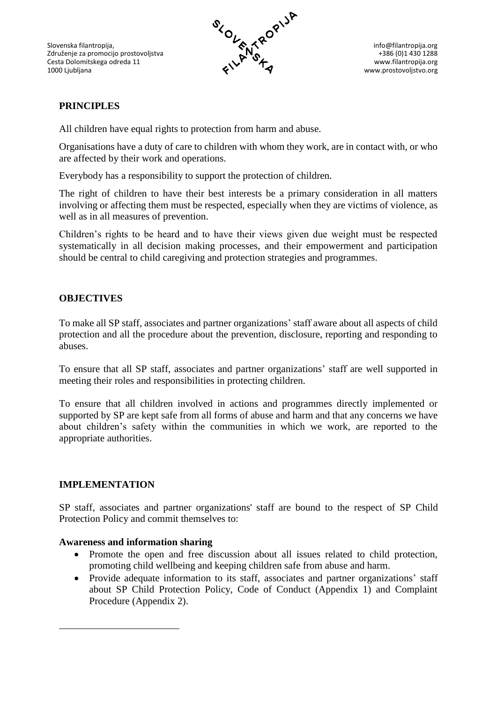Slovenska filantropija, info@filantropija.org info@filantropija.org info@filantropija.org info@filantropija.org Združenje za promocijo prostovoljstva +386 (0)1 430 1288<br>Cesta Dolomitskega odreda 11 v v v v filantropija.org + 1386 (0)1 430 1288 Cesta Dolomitskega odreda 11 www.filantropija.org www.filantropija.org www.filantropija.org www.prostovolistvo.org 1000 Ljubljana www.prostovoljstvo.org



# **PRINCIPLES**

All children have equal rights to protection from harm and abuse.

Organisations have a duty of care to children with whom they work, are in contact with, or who are affected by their work and operations.

Everybody has a responsibility to support the protection of children.

The right of children to have their best interests be a primary consideration in all matters involving or affecting them must be respected, especially when they are victims of violence, as well as in all measures of prevention.

Children's rights to be heard and to have their views given due weight must be respected systematically in all decision making processes, and their empowerment and participation should be central to child caregiving and protection strategies and programmes.

## **OBJECTIVES**

To make all SP staff, associates and partner organizations' staff aware about all aspects of child protection and all the procedure about the prevention, disclosure, reporting and responding to abuses.

To ensure that all SP staff, associates and partner organizations' staff are well supported in meeting their roles and responsibilities in protecting children.

To ensure that all children involved in actions and programmes directly implemented or supported by SP are kept safe from all forms of abuse and harm and that any concerns we have about children's safety within the communities in which we work, are reported to the appropriate authorities.

#### **IMPLEMENTATION**

<u>.</u>

SP staff, associates and partner organizations' staff are bound to the respect of SP Child Protection Policy and commit themselves to:

#### **Awareness and information sharing**

- Promote the open and free discussion about all issues related to child protection, promoting child wellbeing and keeping children safe from abuse and harm.
- Provide adequate information to its staff, associates and partner organizations' staff about SP Child Protection Policy, Code of Conduct (Appendix 1) and Complaint Procedure (Appendix 2).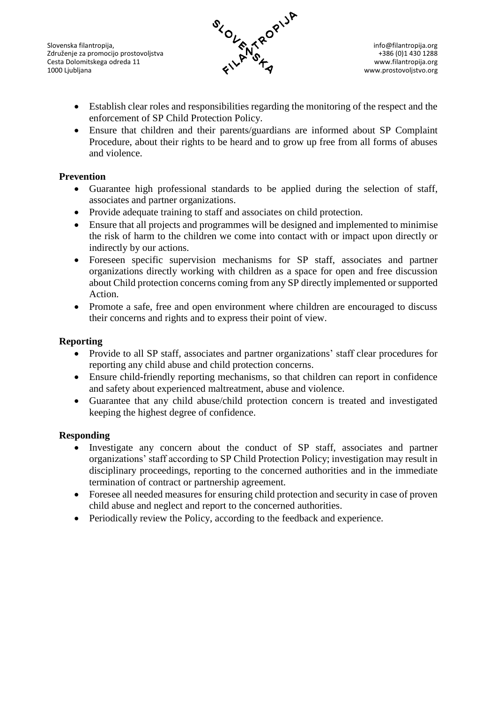Slovenska filantropija, info@filantropija.org info@filantropija.org info@filantropija.org info@filantropija.org Združenje za promocijo prostovoljstva and the state of the state of the state of the state of the state of the state of the state of the state of the state of the state of the state of the state of the state of the state o Cesta Dolomitskega odreda 11 www.filantropija.org www.filantropija.org www.filantropija.org 1000 Ljubljana www.prostovoljstvo.org



- Establish clear roles and responsibilities regarding the monitoring of the respect and the enforcement of SP Child Protection Policy.
- Ensure that children and their parents/guardians are informed about SP Complaint Procedure, about their rights to be heard and to grow up free from all forms of abuses and violence.

## **Prevention**

- Guarantee high professional standards to be applied during the selection of staff, associates and partner organizations.
- Provide adequate training to staff and associates on child protection.
- Ensure that all projects and programmes will be designed and implemented to minimise the risk of harm to the children we come into contact with or impact upon directly or indirectly by our actions.
- Foreseen specific supervision mechanisms for SP staff, associates and partner organizations directly working with children as a space for open and free discussion about Child protection concerns coming from any SP directly implemented or supported Action.
- Promote a safe, free and open environment where children are encouraged to discuss their concerns and rights and to express their point of view.

## **Reporting**

- Provide to all SP staff, associates and partner organizations' staff clear procedures for reporting any child abuse and child protection concerns.
- Ensure child-friendly reporting mechanisms, so that children can report in confidence and safety about experienced maltreatment, abuse and violence.
- Guarantee that any child abuse/child protection concern is treated and investigated keeping the highest degree of confidence.

## **Responding**

- Investigate any concern about the conduct of SP staff, associates and partner organizations' staff according to SP Child Protection Policy; investigation may result in disciplinary proceedings, reporting to the concerned authorities and in the immediate termination of contract or partnership agreement.
- Foresee all needed measures for ensuring child protection and security in case of proven child abuse and neglect and report to the concerned authorities.
- Periodically review the Policy, according to the feedback and experience.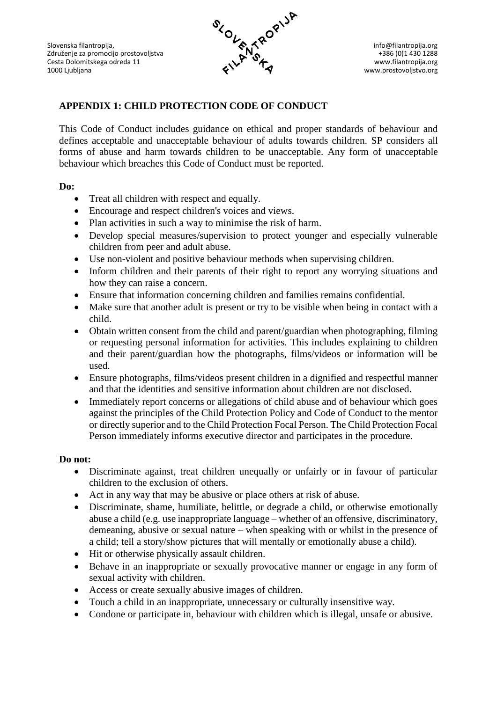

# **APPENDIX 1: CHILD PROTECTION CODE OF CONDUCT**

This Code of Conduct includes guidance on ethical and proper standards of behaviour and defines acceptable and unacceptable behaviour of adults towards children. SP considers all forms of abuse and harm towards children to be unacceptable. Any form of unacceptable behaviour which breaches this Code of Conduct must be reported.

#### **Do:**

- Treat all children with respect and equally.
- Encourage and respect children's voices and views.
- Plan activities in such a way to minimise the risk of harm.
- Develop special measures/supervision to protect younger and especially vulnerable children from peer and adult abuse.
- Use non-violent and positive behaviour methods when supervising children.
- Inform children and their parents of their right to report any worrying situations and how they can raise a concern.
- Ensure that information concerning children and families remains confidential.
- Make sure that another adult is present or try to be visible when being in contact with a child.
- Obtain written consent from the child and parent/guardian when photographing, filming or requesting personal information for activities. This includes explaining to children and their parent/guardian how the photographs, films/videos or information will be used.
- Ensure photographs, films/videos present children in a dignified and respectful manner and that the identities and sensitive information about children are not disclosed.
- Immediately report concerns or allegations of child abuse and of behaviour which goes against the principles of the Child Protection Policy and Code of Conduct to the mentor or directly superior and to the Child Protection Focal Person. The Child Protection Focal Person immediately informs executive director and participates in the procedure.

## **Do not:**

- Discriminate against, treat children unequally or unfairly or in favour of particular children to the exclusion of others.
- Act in any way that may be abusive or place others at risk of abuse.
- Discriminate, shame, humiliate, belittle, or degrade a child, or otherwise emotionally abuse a child (e.g. use inappropriate language – whether of an offensive, discriminatory, demeaning, abusive or sexual nature – when speaking with or whilst in the presence of a child; tell a story/show pictures that will mentally or emotionally abuse a child).
- Hit or otherwise physically assault children.
- Behave in an inappropriate or sexually provocative manner or engage in any form of sexual activity with children.
- Access or create sexually abusive images of children.
- Touch a child in an inappropriate, unnecessary or culturally insensitive way.
- Condone or participate in, behaviour with children which is illegal, unsafe or abusive.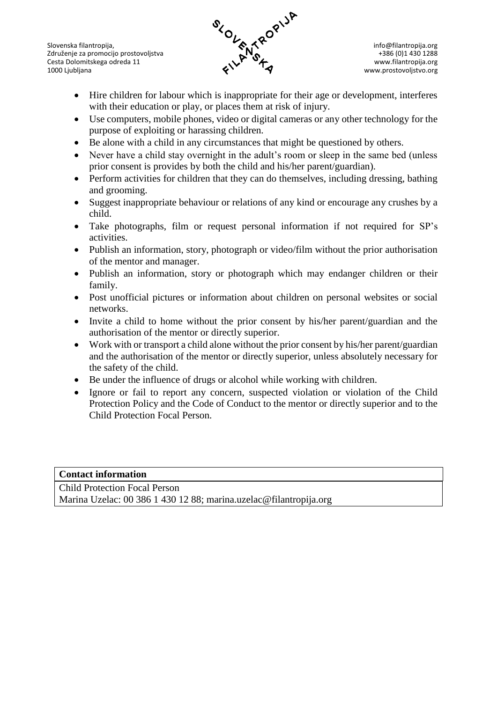Slovenska filantropija, info@filantropija.org info@filantropija.org info@filantropija.org info@filantropija.org Združenje za promocijo prostovoljstva hebre i state za promocijo prostovoljstva hebre i state za promocijo prostovoljstva hebre i state za promocijo prostovoljstva hebre i state za promocija organizacija i state za promoci Cesta Dolomitskega odreda 11 www.filantropija.org www.filantropija.org www.filantropija.org 1000 Ljubljana www.prostovoljstvo.org (1000 Ljubljana www.prostovoljstvo.org (1000 Ljubljana www.prostovoljstvo.org



- Hire children for labour which is inappropriate for their age or development, interferes with their education or play, or places them at risk of injury.
- Use computers, mobile phones, video or digital cameras or any other technology for the purpose of exploiting or harassing children.
- Be alone with a child in any circumstances that might be questioned by others.
- Never have a child stay overnight in the adult's room or sleep in the same bed (unless prior consent is provides by both the child and his/her parent/guardian).
- Perform activities for children that they can do themselves, including dressing, bathing and grooming.
- Suggest inappropriate behaviour or relations of any kind or encourage any crushes by a child.
- Take photographs, film or request personal information if not required for SP's activities.
- Publish an information, story, photograph or video/film without the prior authorisation of the mentor and manager.
- Publish an information, story or photograph which may endanger children or their family.
- Post unofficial pictures or information about children on personal websites or social networks.
- Invite a child to home without the prior consent by his/her parent/guardian and the authorisation of the mentor or directly superior.
- Work with or transport a child alone without the prior consent by his/her parent/guardian and the authorisation of the mentor or directly superior, unless absolutely necessary for the safety of the child.
- Be under the influence of drugs or alcohol while working with children.
- Ignore or fail to report any concern, suspected violation or violation of the Child Protection Policy and the Code of Conduct to the mentor or directly superior and to the Child Protection Focal Person.

#### **Contact information**

Child Protection Focal Person Marina Uzelac: 00 386 1 430 12 88; marina.uzelac@filantropija.org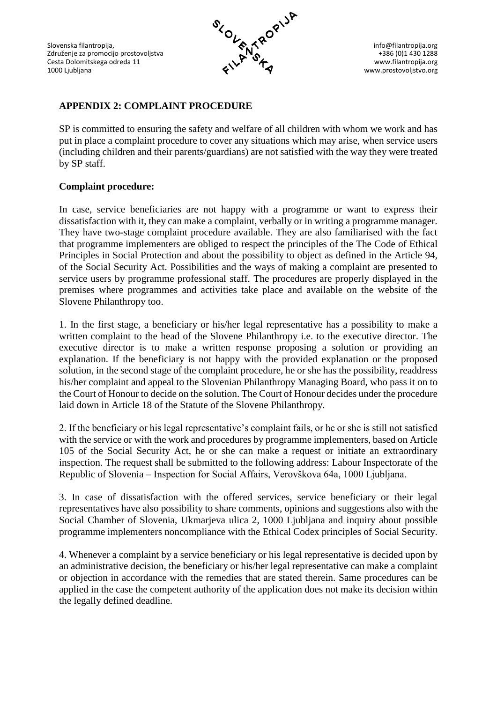Združenje za promocijo prostovoljstva antiki se promocijo prostovoljstva kontrolica se promocijo prostovoljstva kontrolica kontrolica kontrolica kontrolica kontrolica kontrolica kontrolica kontrolica kontrolica kontrolica Cesta Dolomitskega odreda 11<br>1000 Ljubljana



www.prostovoljstvo.org

# **APPENDIX 2: COMPLAINT PROCEDURE**

SP is committed to ensuring the safety and welfare of all children with whom we work and has put in place a complaint procedure to cover any situations which may arise, when service users (including children and their parents/guardians) are not satisfied with the way they were treated by SP staff.

#### **Complaint procedure:**

In case, service beneficiaries are not happy with a programme or want to express their dissatisfaction with it, they can make a complaint, verbally or in writing a programme manager. They have two-stage complaint procedure available. They are also familiarised with the fact that programme implementers are obliged to respect the principles of the The Code of Ethical Principles in Social Protection and about the possibility to object as defined in the Article 94, of the Social Security Act. Possibilities and the ways of making a complaint are presented to service users by programme professional staff. The procedures are properly displayed in the premises where programmes and activities take place and available on the website of the Slovene Philanthropy too.

1. In the first stage, a beneficiary or his/her legal representative has a possibility to make a written complaint to the head of the Slovene Philanthropy i.e. to the executive director. The executive director is to make a written response proposing a solution or providing an explanation. If the beneficiary is not happy with the provided explanation or the proposed solution, in the second stage of the complaint procedure, he or she has the possibility, readdress his/her complaint and appeal to the Slovenian Philanthropy Managing Board, who pass it on to the Court of Honour to decide on the solution. The Court of Honour decides under the procedure laid down in Article 18 of the Statute of the Slovene Philanthropy.

2. If the beneficiary or his legal representative's complaint fails, or he or she is still not satisfied with the service or with the work and procedures by programme implementers, based on Article 105 of the Social Security Act, he or she can make a request or initiate an extraordinary inspection. The request shall be submitted to the following address: Labour Inspectorate of the Republic of Slovenia – Inspection for Social Affairs, Verovškova 64a, 1000 Ljubljana.

3. In case of dissatisfaction with the offered services, service beneficiary or their legal representatives have also possibility to share comments, opinions and suggestions also with the Social Chamber of Slovenia, Ukmarjeva ulica 2, 1000 Ljubljana and inquiry about possible programme implementers noncompliance with the Ethical Codex principles of Social Security.

4. Whenever a complaint by a service beneficiary or his legal representative is decided upon by an administrative decision, the beneficiary or his/her legal representative can make a complaint or objection in accordance with the remedies that are stated therein. Same procedures can be applied in the case the competent authority of the application does not make its decision within the legally defined deadline.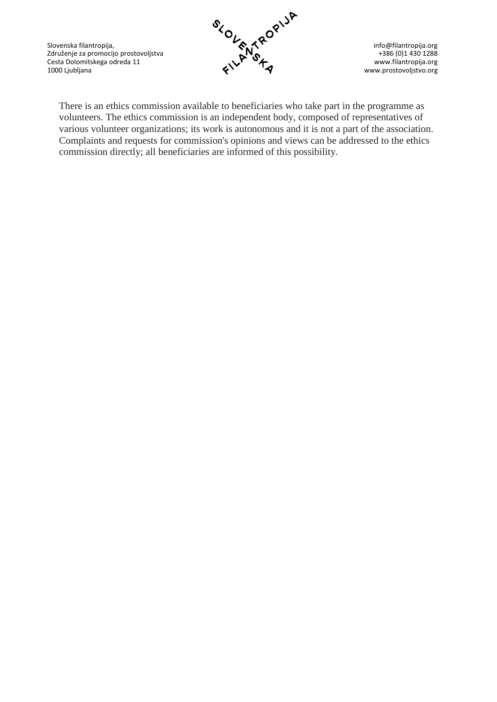Slovenska filantropija, info@filantropija.org info@filantropija.org info@filantropija.org info@filantropija.org Združenje za promocijo prostovoljstva and the state of the state of the state of the state of the state of the state of the state of the state of the state of the state of the state of the state of the state of the state o Cesta Dolomitskega odreda 11 www.filantropija.org www.filantropija.org www.filantropija.org 1000 Ljubljana www.prostovoljstvo.org



There is an ethics commission available to beneficiaries who take part in the programme as volunteers. The ethics commission is an independent body, composed of representatives of various volunteer organizations; its work is autonomous and it is not a part of the association. Complaints and requests for commission's opinions and views can be addressed to the ethics commission directly; all beneficiaries are informed of this possibility.